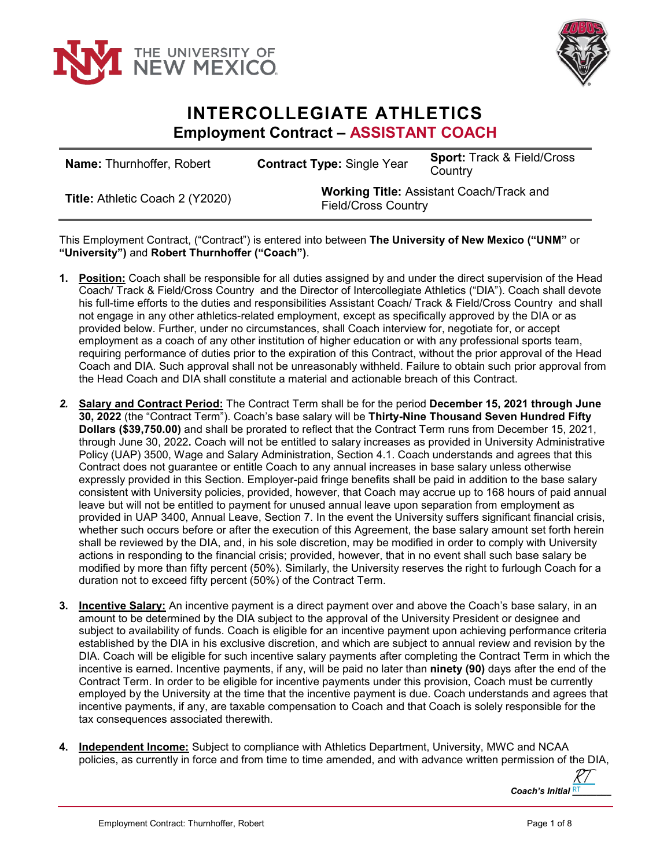



## **INTERCOLLEGIATE ATHLETICS Employment Contract – ASSISTANT COACH**

| <b>Name: Thurnhoffer, Robert</b>       | <b>Contract Type: Single Year</b>                                             | <b>Sport: Track &amp; Field/Cross</b><br>Country |
|----------------------------------------|-------------------------------------------------------------------------------|--------------------------------------------------|
| <b>Title: Athletic Coach 2 (Y2020)</b> | <b>Working Title: Assistant Coach/Track and</b><br><b>Field/Cross Country</b> |                                                  |

This Employment Contract, ("Contract") is entered into between **The University of New Mexico ("UNM"** or **"University")** and **Robert Thurnhoffer ("Coach")**.

- **1. Position:** Coach shall be responsible for all duties assigned by and under the direct supervision of the Head Coach/ Track & Field/Cross Country and the Director of Intercollegiate Athletics ("DIA"). Coach shall devote his full-time efforts to the duties and responsibilities Assistant Coach/ Track & Field/Cross Country and shall not engage in any other athletics-related employment, except as specifically approved by the DIA or as provided below. Further, under no circumstances, shall Coach interview for, negotiate for, or accept employment as a coach of any other institution of higher education or with any professional sports team, requiring performance of duties prior to the expiration of this Contract, without the prior approval of the Head Coach and DIA. Such approval shall not be unreasonably withheld. Failure to obtain such prior approval from the Head Coach and DIA shall constitute a material and actionable breach of this Contract.
- *2.* **Salary and Contract Period:** The Contract Term shall be for the period **December 15, 2021 through June 30, 2022** (the "Contract Term"). Coach's base salary will be **Thirty-Nine Thousand Seven Hundred Fifty Dollars (\$39,750.00)** and shall be prorated to reflect that the Contract Term runs from December 15, 2021, through June 30, 2022**.** Coach will not be entitled to salary increases as provided in University Administrative Policy (UAP) 3500, Wage and Salary Administration, Section 4.1. Coach understands and agrees that this Contract does not guarantee or entitle Coach to any annual increases in base salary unless otherwise expressly provided in this Section. Employer-paid fringe benefits shall be paid in addition to the base salary consistent with University policies, provided, however, that Coach may accrue up to 168 hours of paid annual leave but will not be entitled to payment for unused annual leave upon separation from employment as provided in UAP 3400, Annual Leave, Section 7. In the event the University suffers significant financial crisis, whether such occurs before or after the execution of this Agreement, the base salary amount set forth herein shall be reviewed by the DIA, and, in his sole discretion, may be modified in order to comply with University actions in responding to the financial crisis; provided, however, that in no event shall such base salary be modified by more than fifty percent (50%). Similarly, the University reserves the right to furlough Coach for a duration not to exceed fifty percent (50%) of the Contract Term.
- **3. Incentive Salary:** An incentive payment is a direct payment over and above the Coach's base salary, in an amount to be determined by the DIA subject to the approval of the University President or designee and subject to availability of funds. Coach is eligible for an incentive payment upon achieving performance criteria established by the DIA in his exclusive discretion, and which are subject to annual review and revision by the DIA. Coach will be eligible for such incentive salary payments after completing the Contract Term in which the incentive is earned. Incentive payments, if any, will be paid no later than **ninety (90)** days after the end of the Contract Term. In order to be eligible for incentive payments under this provision, Coach must be currently employed by the University at the time that the incentive payment is due. Coach understands and agrees that incentive payments, if any, are taxable compensation to Coach and that Coach is solely responsible for the tax consequences associated therewith.
- **4. Independent Income:** Subject to compliance with Athletics Department, University, MWC and NCAA policies, as currently in force and from time to time amended, and with advance written permission of the DIA,

*Coach's Initial \_\_\_\_\_\_\_\_* RT [RT](https://secure.na2.echosign.com/verifier?tx=CBJCHBCAABAAoXR8xz5TEtMRjAKRr5klSZfVhksUNBWO)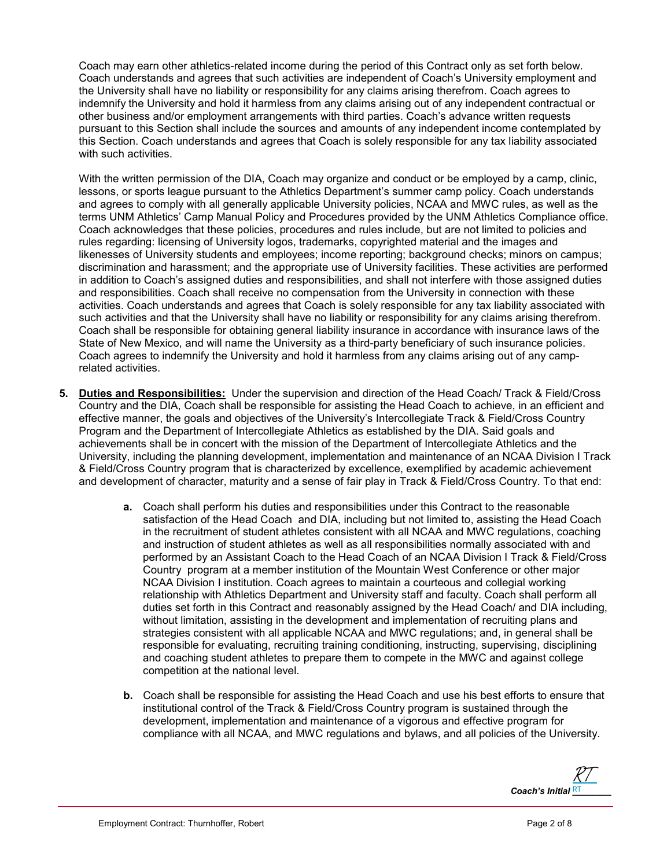Coach may earn other athletics-related income during the period of this Contract only as set forth below. Coach understands and agrees that such activities are independent of Coach's University employment and the University shall have no liability or responsibility for any claims arising therefrom. Coach agrees to indemnify the University and hold it harmless from any claims arising out of any independent contractual or other business and/or employment arrangements with third parties. Coach's advance written requests pursuant to this Section shall include the sources and amounts of any independent income contemplated by this Section. Coach understands and agrees that Coach is solely responsible for any tax liability associated with such activities.

With the written permission of the DIA, Coach may organize and conduct or be employed by a camp, clinic, lessons, or sports league pursuant to the Athletics Department's summer camp policy. Coach understands and agrees to comply with all generally applicable University policies, NCAA and MWC rules, as well as the terms UNM Athletics' Camp Manual Policy and Procedures provided by the UNM Athletics Compliance office. Coach acknowledges that these policies, procedures and rules include, but are not limited to policies and rules regarding: licensing of University logos, trademarks, copyrighted material and the images and likenesses of University students and employees; income reporting; background checks; minors on campus; discrimination and harassment; and the appropriate use of University facilities. These activities are performed in addition to Coach's assigned duties and responsibilities, and shall not interfere with those assigned duties and responsibilities. Coach shall receive no compensation from the University in connection with these activities. Coach understands and agrees that Coach is solely responsible for any tax liability associated with such activities and that the University shall have no liability or responsibility for any claims arising therefrom. Coach shall be responsible for obtaining general liability insurance in accordance with insurance laws of the State of New Mexico, and will name the University as a third-party beneficiary of such insurance policies. Coach agrees to indemnify the University and hold it harmless from any claims arising out of any camprelated activities.

- **5. Duties and Responsibilities:** Under the supervision and direction of the Head Coach/ Track & Field/Cross Country and the DIA, Coach shall be responsible for assisting the Head Coach to achieve, in an efficient and effective manner, the goals and objectives of the University's Intercollegiate Track & Field/Cross Country Program and the Department of Intercollegiate Athletics as established by the DIA. Said goals and achievements shall be in concert with the mission of the Department of Intercollegiate Athletics and the University, including the planning development, implementation and maintenance of an NCAA Division I Track & Field/Cross Country program that is characterized by excellence, exemplified by academic achievement and development of character, maturity and a sense of fair play in Track & Field/Cross Country. To that end:
	- **a.** Coach shall perform his duties and responsibilities under this Contract to the reasonable satisfaction of the Head Coach and DIA, including but not limited to, assisting the Head Coach in the recruitment of student athletes consistent with all NCAA and MWC regulations, coaching and instruction of student athletes as well as all responsibilities normally associated with and performed by an Assistant Coach to the Head Coach of an NCAA Division I Track & Field/Cross Country program at a member institution of the Mountain West Conference or other major NCAA Division I institution. Coach agrees to maintain a courteous and collegial working relationship with Athletics Department and University staff and faculty. Coach shall perform all duties set forth in this Contract and reasonably assigned by the Head Coach/ and DIA including, without limitation, assisting in the development and implementation of recruiting plans and strategies consistent with all applicable NCAA and MWC regulations; and, in general shall be responsible for evaluating, recruiting training conditioning, instructing, supervising, disciplining and coaching student athletes to prepare them to compete in the MWC and against college competition at the national level.
	- **b.** Coach shall be responsible for assisting the Head Coach and use his best efforts to ensure that institutional control of the Track & Field/Cross Country program is sustained through the development, implementation and maintenance of a vigorous and effective program for compliance with all NCAA, and MWC regulations and bylaws, and all policies of the University.

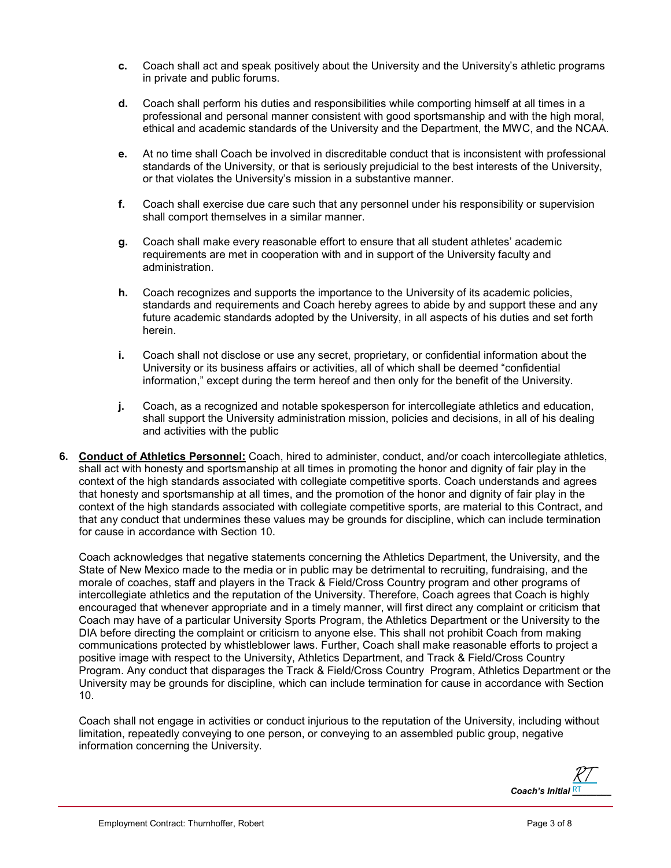- **c.** Coach shall act and speak positively about the University and the University's athletic programs in private and public forums.
- **d.** Coach shall perform his duties and responsibilities while comporting himself at all times in a professional and personal manner consistent with good sportsmanship and with the high moral, ethical and academic standards of the University and the Department, the MWC, and the NCAA.
- **e.** At no time shall Coach be involved in discreditable conduct that is inconsistent with professional standards of the University, or that is seriously prejudicial to the best interests of the University, or that violates the University's mission in a substantive manner.
- **f.** Coach shall exercise due care such that any personnel under his responsibility or supervision shall comport themselves in a similar manner.
- **g.** Coach shall make every reasonable effort to ensure that all student athletes' academic requirements are met in cooperation with and in support of the University faculty and administration.
- **h.** Coach recognizes and supports the importance to the University of its academic policies, standards and requirements and Coach hereby agrees to abide by and support these and any future academic standards adopted by the University, in all aspects of his duties and set forth herein.
- **i.** Coach shall not disclose or use any secret, proprietary, or confidential information about the University or its business affairs or activities, all of which shall be deemed "confidential information," except during the term hereof and then only for the benefit of the University.
- **j.** Coach, as a recognized and notable spokesperson for intercollegiate athletics and education, shall support the University administration mission, policies and decisions, in all of his dealing and activities with the public
- **6. Conduct of Athletics Personnel:** Coach, hired to administer, conduct, and/or coach intercollegiate athletics, shall act with honesty and sportsmanship at all times in promoting the honor and dignity of fair play in the context of the high standards associated with collegiate competitive sports. Coach understands and agrees that honesty and sportsmanship at all times, and the promotion of the honor and dignity of fair play in the context of the high standards associated with collegiate competitive sports, are material to this Contract, and that any conduct that undermines these values may be grounds for discipline, which can include termination for cause in accordance with Section 10.

Coach acknowledges that negative statements concerning the Athletics Department, the University, and the State of New Mexico made to the media or in public may be detrimental to recruiting, fundraising, and the morale of coaches, staff and players in the Track & Field/Cross Country program and other programs of intercollegiate athletics and the reputation of the University. Therefore, Coach agrees that Coach is highly encouraged that whenever appropriate and in a timely manner, will first direct any complaint or criticism that Coach may have of a particular University Sports Program, the Athletics Department or the University to the DIA before directing the complaint or criticism to anyone else. This shall not prohibit Coach from making communications protected by whistleblower laws. Further, Coach shall make reasonable efforts to project a positive image with respect to the University, Athletics Department, and Track & Field/Cross Country Program. Any conduct that disparages the Track & Field/Cross Country Program, Athletics Department or the University may be grounds for discipline, which can include termination for cause in accordance with Section 10.

Coach shall not engage in activities or conduct injurious to the reputation of the University, including without limitation, repeatedly conveying to one person, or conveying to an assembled public group, negative information concerning the University.

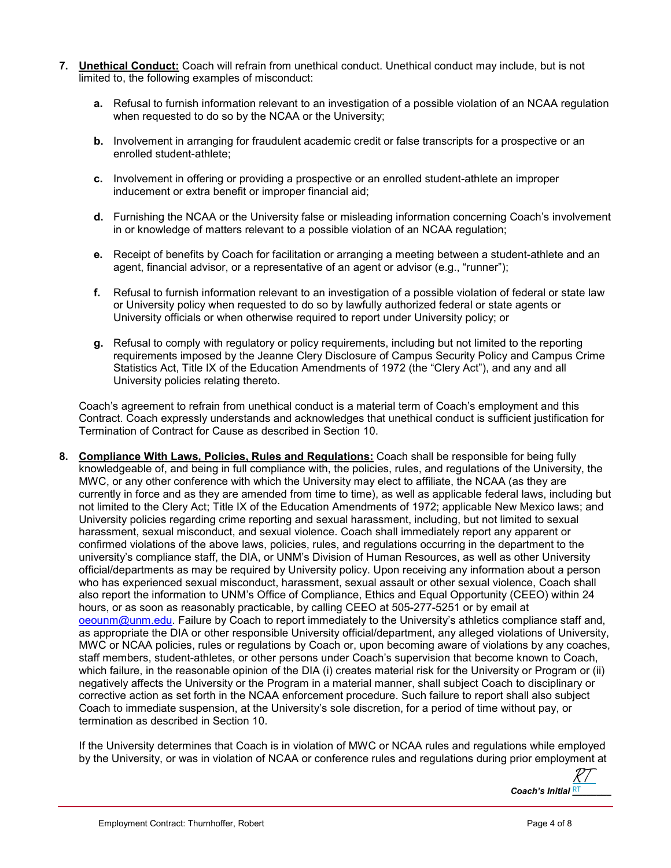- **7. Unethical Conduct:** Coach will refrain from unethical conduct. Unethical conduct may include, but is not limited to, the following examples of misconduct:
	- **a.** Refusal to furnish information relevant to an investigation of a possible violation of an NCAA regulation when requested to do so by the NCAA or the University;
	- **b.** Involvement in arranging for fraudulent academic credit or false transcripts for a prospective or an enrolled student-athlete;
	- **c.** Involvement in offering or providing a prospective or an enrolled student-athlete an improper inducement or extra benefit or improper financial aid;
	- **d.** Furnishing the NCAA or the University false or misleading information concerning Coach's involvement in or knowledge of matters relevant to a possible violation of an NCAA regulation;
	- **e.** Receipt of benefits by Coach for facilitation or arranging a meeting between a student-athlete and an agent, financial advisor, or a representative of an agent or advisor (e.g., "runner");
	- **f.** Refusal to furnish information relevant to an investigation of a possible violation of federal or state law or University policy when requested to do so by lawfully authorized federal or state agents or University officials or when otherwise required to report under University policy; or
	- **g.** Refusal to comply with regulatory or policy requirements, including but not limited to the reporting requirements imposed by the Jeanne Clery Disclosure of Campus Security Policy and Campus Crime Statistics Act, Title IX of the Education Amendments of 1972 (the "Clery Act"), and any and all University policies relating thereto.

Coach's agreement to refrain from unethical conduct is a material term of Coach's employment and this Contract. Coach expressly understands and acknowledges that unethical conduct is sufficient justification for Termination of Contract for Cause as described in Section 10.

**8. Compliance With Laws, Policies, Rules and Regulations:** Coach shall be responsible for being fully knowledgeable of, and being in full compliance with, the policies, rules, and regulations of the University, the MWC, or any other conference with which the University may elect to affiliate, the NCAA (as they are currently in force and as they are amended from time to time), as well as applicable federal laws, including but not limited to the Clery Act; Title IX of the Education Amendments of 1972; applicable New Mexico laws; and University policies regarding crime reporting and sexual harassment, including, but not limited to sexual harassment, sexual misconduct, and sexual violence. Coach shall immediately report any apparent or confirmed violations of the above laws, policies, rules, and regulations occurring in the department to the university's compliance staff, the DIA, or UNM's Division of Human Resources, as well as other University official/departments as may be required by University policy. Upon receiving any information about a person who has experienced sexual misconduct, harassment, sexual assault or other sexual violence, Coach shall also report the information to UNM's Office of Compliance, Ethics and Equal Opportunity (CEEO) within 24 hours, or as soon as reasonably practicable, by calling CEEO at 505-277-5251 or by email at [oeounm@unm.edu.](mailto:oeounm@unm.edu) Failure by Coach to report immediately to the University's athletics compliance staff and, as appropriate the DIA or other responsible University official/department, any alleged violations of University, MWC or NCAA policies, rules or regulations by Coach or, upon becoming aware of violations by any coaches, staff members, student-athletes, or other persons under Coach's supervision that become known to Coach, which failure, in the reasonable opinion of the DIA (i) creates material risk for the University or Program or (ii) negatively affects the University or the Program in a material manner, shall subject Coach to disciplinary or corrective action as set forth in the NCAA enforcement procedure. Such failure to report shall also subject Coach to immediate suspension, at the University's sole discretion, for a period of time without pay, or termination as described in Section 10.

If the University determines that Coach is in violation of MWC or NCAA rules and regulations while employed by the University, or was in violation of NCAA or conference rules and regulations during prior employment at

*Coach's Initial* RT **RT** [RT](https://secure.na2.echosign.com/verifier?tx=CBJCHBCAABAAoXR8xz5TEtMRjAKRr5klSZfVhksUNBWO)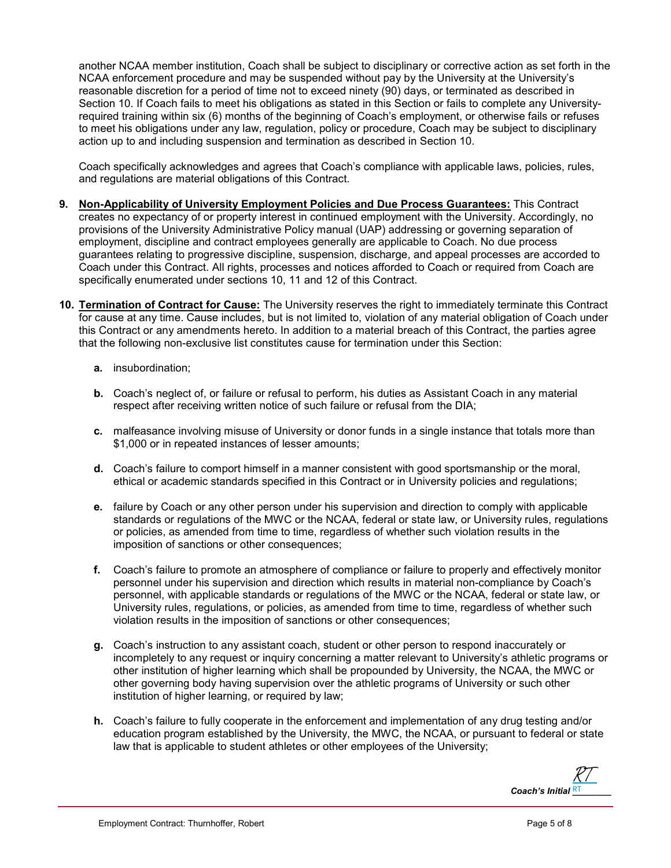another NCAA member institution, Coach shall be subject to disciplinary or corrective action as set forth in the NCAA enforcement procedure and may be suspended without pay by the University at the University's reasonable discretion for a period of time not to exceed ninety (90) days, or terminated as described in Section 10. If Coach fails to meet his obligations as stated in this Section or fails to complete any Universityrequired training within six (6) months of the beginning of Coach's employment, or otherwise fails or refuses to meet his obligations under any law, regulation, policy or procedure, Coach may be subject to disciplinary action up to and including suspension and termination as described in Section 10.

Coach specifically acknowledges and agrees that Coach's compliance with applicable laws, policies, rules, and regulations are material obligations of this Contract.

- **9. Non-Applicability of University Employment Policies and Due Process Guarantees:** This Contract creates no expectancy of or property interest in continued employment with the University. Accordingly, no provisions of the University Administrative Policy manual (UAP) addressing or governing separation of employment, discipline and contract employees generally are applicable to Coach. No due process guarantees relating to progressive discipline, suspension, discharge, and appeal processes are accorded to Coach under this Contract. All rights, processes and notices afforded to Coach or required from Coach are specifically enumerated under sections 10, 11 and 12 of this Contract.
- **10. Termination of Contract for Cause:** The University reserves the right to immediately terminate this Contract for cause at any time. Cause includes, but is not limited to, violation of any material obligation of Coach under this Contract or any amendments hereto. In addition to a material breach of this Contract, the parties agree that the following non-exclusive list constitutes cause for termination under this Section:
	- **a.** insubordination;
	- **b.** Coach's neglect of, or failure or refusal to perform, his duties as Assistant Coach in any material respect after receiving written notice of such failure or refusal from the DIA;
	- **c.** malfeasance involving misuse of University or donor funds in a single instance that totals more than \$1,000 or in repeated instances of lesser amounts;
	- **d.** Coach's failure to comport himself in a manner consistent with good sportsmanship or the moral, ethical or academic standards specified in this Contract or in University policies and regulations;
	- **e.** failure by Coach or any other person under his supervision and direction to comply with applicable standards or regulations of the MWC or the NCAA, federal or state law, or University rules, regulations or policies, as amended from time to time, regardless of whether such violation results in the imposition of sanctions or other consequences;
	- **f.** Coach's failure to promote an atmosphere of compliance or failure to properly and effectively monitor personnel under his supervision and direction which results in material non-compliance by Coach's personnel, with applicable standards or regulations of the MWC or the NCAA, federal or state law, or University rules, regulations, or policies, as amended from time to time, regardless of whether such violation results in the imposition of sanctions or other consequences;
	- **g.** Coach's instruction to any assistant coach, student or other person to respond inaccurately or incompletely to any request or inquiry concerning a matter relevant to University's athletic programs or other institution of higher learning which shall be propounded by University, the NCAA, the MWC or other governing body having supervision over the athletic programs of University or such other institution of higher learning, or required by law;
	- **h.** Coach's failure to fully cooperate in the enforcement and implementation of any drug testing and/or education program established by the University, the MWC, the NCAA, or pursuant to federal or state law that is applicable to student athletes or other employees of the University;

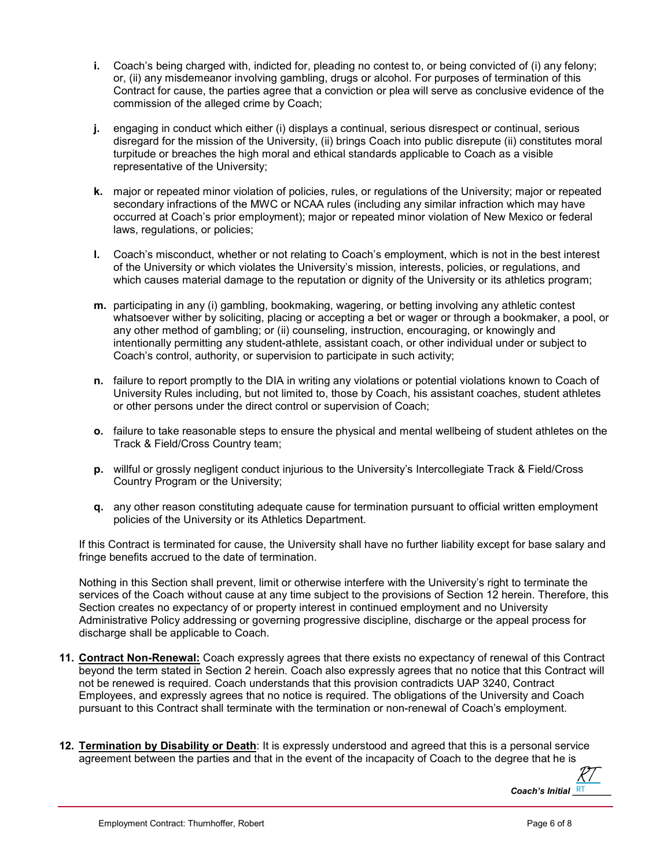- **i.** Coach's being charged with, indicted for, pleading no contest to, or being convicted of (i) any felony; or, (ii) any misdemeanor involving gambling, drugs or alcohol. For purposes of termination of this Contract for cause, the parties agree that a conviction or plea will serve as conclusive evidence of the commission of the alleged crime by Coach;
- **j.** engaging in conduct which either (i) displays a continual, serious disrespect or continual, serious disregard for the mission of the University, (ii) brings Coach into public disrepute (ii) constitutes moral turpitude or breaches the high moral and ethical standards applicable to Coach as a visible representative of the University;
- **k.** major or repeated minor violation of policies, rules, or regulations of the University; major or repeated secondary infractions of the MWC or NCAA rules (including any similar infraction which may have occurred at Coach's prior employment); major or repeated minor violation of New Mexico or federal laws, regulations, or policies;
- **l.** Coach's misconduct, whether or not relating to Coach's employment, which is not in the best interest of the University or which violates the University's mission, interests, policies, or regulations, and which causes material damage to the reputation or dignity of the University or its athletics program;
- **m.** participating in any (i) gambling, bookmaking, wagering, or betting involving any athletic contest whatsoever wither by soliciting, placing or accepting a bet or wager or through a bookmaker, a pool, or any other method of gambling; or (ii) counseling, instruction, encouraging, or knowingly and intentionally permitting any student-athlete, assistant coach, or other individual under or subject to Coach's control, authority, or supervision to participate in such activity;
- **n.** failure to report promptly to the DIA in writing any violations or potential violations known to Coach of University Rules including, but not limited to, those by Coach, his assistant coaches, student athletes or other persons under the direct control or supervision of Coach;
- **o.** failure to take reasonable steps to ensure the physical and mental wellbeing of student athletes on the Track & Field/Cross Country team;
- **p.** willful or grossly negligent conduct injurious to the University's Intercollegiate Track & Field/Cross Country Program or the University;
- **q.** any other reason constituting adequate cause for termination pursuant to official written employment policies of the University or its Athletics Department.

If this Contract is terminated for cause, the University shall have no further liability except for base salary and fringe benefits accrued to the date of termination.

Nothing in this Section shall prevent, limit or otherwise interfere with the University's right to terminate the services of the Coach without cause at any time subject to the provisions of Section 12 herein. Therefore, this Section creates no expectancy of or property interest in continued employment and no University Administrative Policy addressing or governing progressive discipline, discharge or the appeal process for discharge shall be applicable to Coach.

- **11. Contract Non-Renewal:** Coach expressly agrees that there exists no expectancy of renewal of this Contract beyond the term stated in Section 2 herein. Coach also expressly agrees that no notice that this Contract will not be renewed is required. Coach understands that this provision contradicts UAP 3240, Contract Employees, and expressly agrees that no notice is required. The obligations of the University and Coach pursuant to this Contract shall terminate with the termination or non-renewal of Coach's employment.
- **12. Termination by Disability or Death**: It is expressly understood and agreed that this is a personal service agreement between the parties and that in the event of the incapacity of Coach to the degree that he is

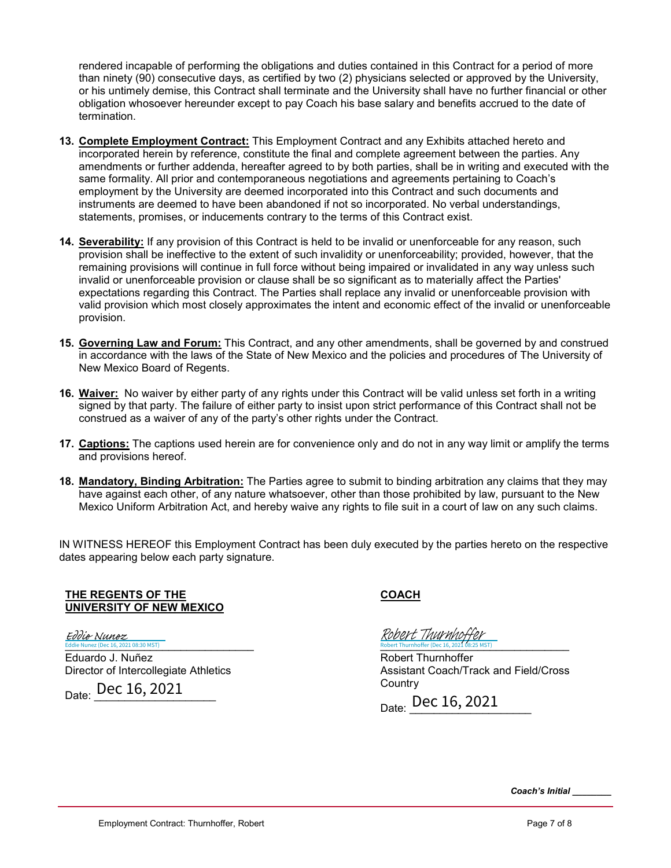rendered incapable of performing the obligations and duties contained in this Contract for a period of more than ninety (90) consecutive days, as certified by two (2) physicians selected or approved by the University, or his untimely demise, this Contract shall terminate and the University shall have no further financial or other obligation whosoever hereunder except to pay Coach his base salary and benefits accrued to the date of termination.

- **13. Complete Employment Contract:** This Employment Contract and any Exhibits attached hereto and incorporated herein by reference, constitute the final and complete agreement between the parties. Any amendments or further addenda, hereafter agreed to by both parties, shall be in writing and executed with the same formality. All prior and contemporaneous negotiations and agreements pertaining to Coach's employment by the University are deemed incorporated into this Contract and such documents and instruments are deemed to have been abandoned if not so incorporated. No verbal understandings, statements, promises, or inducements contrary to the terms of this Contract exist.
- **14. Severability:** If any provision of this Contract is held to be invalid or unenforceable for any reason, such provision shall be ineffective to the extent of such invalidity or unenforceability; provided, however, that the remaining provisions will continue in full force without being impaired or invalidated in any way unless such invalid or unenforceable provision or clause shall be so significant as to materially affect the Parties' expectations regarding this Contract. The Parties shall replace any invalid or unenforceable provision with valid provision which most closely approximates the intent and economic effect of the invalid or unenforceable provision.
- **15. Governing Law and Forum:** This Contract, and any other amendments, shall be governed by and construed in accordance with the laws of the State of New Mexico and the policies and procedures of The University of New Mexico Board of Regents.
- **16. Waiver:** No waiver by either party of any rights under this Contract will be valid unless set forth in a writing signed by that party. The failure of either party to insist upon strict performance of this Contract shall not be construed as a waiver of any of the party's other rights under the Contract.
- **17. Captions:** The captions used herein are for convenience only and do not in any way limit or amplify the terms and provisions hereof.
- **18. Mandatory, Binding Arbitration:** The Parties agree to submit to binding arbitration any claims that they may have against each other, of any nature whatsoever, other than those prohibited by law, pursuant to the New Mexico Uniform Arbitration Act, and hereby waive any rights to file suit in a court of law on any such claims.

IN WITNESS HEREOF this Employment Contract has been duly executed by the parties hereto on the respective dates appearing below each party signature.

**THE REGENTS OF THE UNIVERSITY OF NEW MEXICO**

Eddie Nunez (Dec 16, 2021 08:30 MST) Eduardo J. Nuñez Eddie Nunez

Director of Intercollegiate Athletics

Date: **Dec 16, 2021** 

**COACH**

Robert Thurnhoffer (Dec 16, 2021 08:25 MST) Robert Thurnhoffer (Dec 16, 2021 08:25 MST) [Robert Thurnhoffer](https://secure.na2.echosign.com/verifier?tx=CBJCHBCAABAAoXR8xz5TEtMRjAKRr5klSZfVhksUNBWO)

Robert Thurnhoffer Assistant Coach/Track and Field/Cross **Country** 

Date: **Dec 16, 2021** 

*Coach's Initial \_\_\_\_\_\_\_\_*